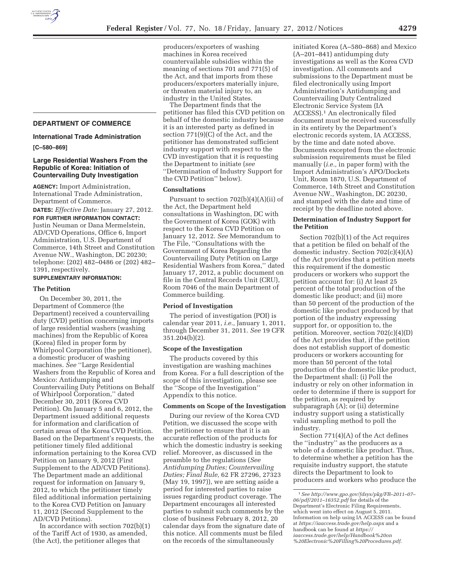# **DEPARTMENT OF COMMERCE**

## **International Trade Administration**

#### **[C–580–869]**

# **Large Residential Washers From the Republic of Korea: Initiation of Countervailing Duty Investigation**

**AGENCY:** Import Administration, International Trade Administration, Department of Commerce.

**DATES:** *Effective Date:* January 27, 2012. **FOR FURTHER INFORMATION CONTACT:**  Justin Neuman or Dana Mermelstein, AD/CVD Operations, Office 6, Import

Administration, U.S. Department of Commerce, 14th Street and Constitution Avenue NW., Washington, DC 20230; telephone: (202) 482–0486 or (202) 482– 1391, respectively.

## **SUPPLEMENTARY INFORMATION:**

## **The Petition**

On December 30, 2011, the Department of Commerce (the Department) received a countervailing duty (CVD) petition concerning imports of large residential washers (washing machines) from the Republic of Korea (Korea) filed in proper form by Whirlpool Corporation (the petitioner), a domestic producer of washing machines. *See* ''Large Residential Washers from the Republic of Korea and Mexico: Antidumping and Countervailing Duty Petitions on Behalf of Whirlpool Corporation,'' dated December 30, 2011 (Korea CVD Petition). On January 5 and 6, 2012, the Department issued additional requests for information and clarification of certain areas of the Korea CVD Petition. Based on the Department's requests, the petitioner timely filed additional information pertaining to the Korea CVD Petition on January 9, 2012 (First Supplement to the AD/CVD Petitions). The Department made an additional request for information on January 9, 2012, to which the petitioner timely filed additional information pertaining to the Korea CVD Petition on January 11, 2012 (Second Supplement to the AD/CVD Petitions).

In accordance with section 702(b)(1) of the Tariff Act of 1930, as amended, (the Act), the petitioner alleges that

producers/exporters of washing machines in Korea received countervailable subsidies within the meaning of sections 701 and 771(5) of the Act, and that imports from these producers/exporters materially injure, or threaten material injury to, an industry in the United States.

The Department finds that the petitioner has filed this CVD petition on behalf of the domestic industry because it is an interested party as defined in section 771(9)(C) of the Act, and the petitioner has demonstrated sufficient industry support with respect to the CVD investigation that it is requesting the Department to initiate (*see*  ''Determination of Industry Support for the CVD Petition'' below).

#### **Consultations**

Pursuant to section  $702(b)(4)(A)(ii)$  of the Act, the Department held consultations in Washington, DC with the Government of Korea (GOK) with respect to the Korea CVD Petition on January 12, 2012. *See* Memorandum to The File, ''Consultations with the Government of Korea Regarding the Countervailing Duty Petition on Large Residential Washers from Korea,'' dated January 17, 2012, a public document on file in the Central Records Unit (CRU), Room 7046 of the main Department of Commerce building.

# **Period of Investigation**

The period of investigation (POI) is calendar year 2011, *i.e.,* January 1, 2011, through December 31, 2011. *See* 19 CFR 351.204(b)(2).

## **Scope of the Investigation**

The products covered by this investigation are washing machines from Korea. For a full description of the scope of this investigation, please see the ''Scope of the Investigation'' Appendix to this notice.

#### **Comments on Scope of the Investigation**

During our review of the Korea CVD Petition, we discussed the scope with the petitioner to ensure that it is an accurate reflection of the products for which the domestic industry is seeking relief. Moreover, as discussed in the preamble to the regulations (*See Antidumping Duties; Countervailing Duties; Final Rule,* 62 FR 27296, 27323 (May 19, 1997)), we are setting aside a period for interested parties to raise issues regarding product coverage. The Department encourages all interested parties to submit such comments by the close of business February 8, 2012, 20 calendar days from the signature date of this notice. All comments must be filed on the records of the simultaneously

initiated Korea (A–580–868) and Mexico (A–201–841) antidumping duty investigations as well as the Korea CVD investigation. All comments and submissions to the Department must be filed electronically using Import Administration's Antidumping and Countervailing Duty Centralized Electronic Service System (IA ACCESS).1 An electronically filed document must be received successfully in its entirety by the Department's electronic records system, IA ACCESS, by the time and date noted above. Documents excepted from the electronic submission requirements must be filed manually (*i.e.,* in paper form) with the Import Administration's APO/Dockets Unit, Room 1870, U.S. Department of Commerce, 14th Street and Constitution Avenue NW., Washington, DC 20230, and stamped with the date and time of receipt by the deadline noted above.

## **Determination of Industry Support for the Petition**

Section 702(b)(1) of the Act requires that a petition be filed on behalf of the domestic industry. Section 702(c)(4)(A) of the Act provides that a petition meets this requirement if the domestic producers or workers who support the petition account for: (i) At least 25 percent of the total production of the domestic like product; and (ii) more than 50 percent of the production of the domestic like product produced by that portion of the industry expressing support for, or opposition to, the petition. Moreover, section 702(c)(4)(D) of the Act provides that, if the petition does not establish support of domestic producers or workers accounting for more than 50 percent of the total production of the domestic like product, the Department shall: (i) Poll the industry or rely on other information in order to determine if there is support for the petition, as required by subparagraph (A); or (ii) determine industry support using a statistically valid sampling method to poll the industry.

Section 771(4)(A) of the Act defines the ''industry'' as the producers as a whole of a domestic like product. Thus, to determine whether a petition has the requisite industry support, the statute directs the Department to look to producers and workers who produce the

<sup>1</sup>*See http://www.gpo.gov/fdsys/pkg/FR–2011–07– 06/pdf/2011–16352.pdf* for details of the Department's Electronic Filing Requirements, which went into effect on August 5, 2011. Information on help using IA ACCESS can be found at *https://iaaccess.trade.gov/help.aspx* and a handbook can be found at *https:// iaaccess.trade.gov/help/Handbook%20on %20Electronic%20Filling%20Procedures.pdf*.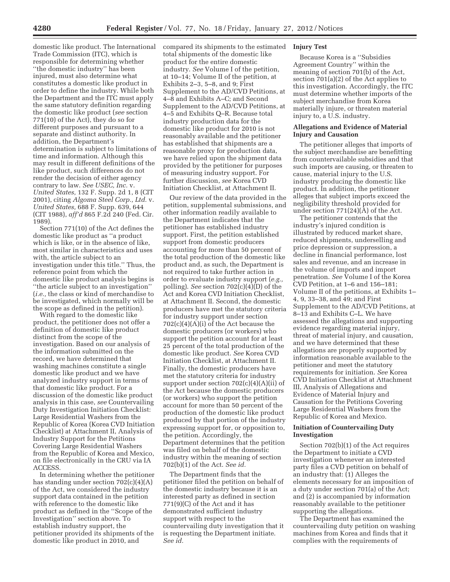domestic like product. The International Trade Commission (ITC), which is responsible for determining whether ''the domestic industry'' has been injured, must also determine what constitutes a domestic like product in order to define the industry. While both the Department and the ITC must apply the same statutory definition regarding the domestic like product (*see* section 771(10) of the Act), they do so for different purposes and pursuant to a separate and distinct authority. In addition, the Department's determination is subject to limitations of time and information. Although this may result in different definitions of the like product, such differences do not render the decision of either agency contrary to law. *See USEC, Inc.* v. *United States,* 132 F. Supp. 2d 1, 8 (CIT 2001), citing *Algoma Steel Corp., Ltd.* v. *United States,* 688 F. Supp. 639, 644 (CIT 1988), *aff'd* 865 F.2d 240 (Fed. Cir. 1989).

Section 771(10) of the Act defines the domestic like product as ''a product which is like, or in the absence of like, most similar in characteristics and uses with, the article subject to an investigation under this title.'' Thus, the reference point from which the domestic like product analysis begins is ''the article subject to an investigation'' (*i.e.,* the class or kind of merchandise to be investigated, which normally will be the scope as defined in the petition).

With regard to the domestic like product, the petitioner does not offer a definition of domestic like product distinct from the scope of the investigation. Based on our analysis of the information submitted on the record, we have determined that washing machines constitute a single domestic like product and we have analyzed industry support in terms of that domestic like product. For a discussion of the domestic like product analysis in this case, *see* Countervailing Duty Investigation Initiation Checklist: Large Residential Washers from the Republic of Korea (Korea CVD Initiation Checklist) at Attachment II, Analysis of Industry Support for the Petitions Covering Large Residential Washers from the Republic of Korea and Mexico, on file electronically in the CRU via IA ACCESS.

In determining whether the petitioner has standing under section 702(c)(4)(A) of the Act, we considered the industry support data contained in the petition with reference to the domestic like product as defined in the ''Scope of the Investigation'' section above. To establish industry support, the petitioner provided its shipments of the domestic like product in 2010, and

compared its shipments to the estimated total shipments of the domestic like product for the entire domestic industry. *See* Volume I of the petition, at 10–14; Volume II of the petition, at Exhibits 2–3, 5–8, and 9; First Supplement to the AD/CVD Petitions, at 4–8 and Exhibits A–C; and Second Supplement to the AD/CVD Petitions, at 4–5 and Exhibits Q–R. Because total industry production data for the domestic like product for 2010 is not reasonably available and the petitioner has established that shipments are a reasonable proxy for production data, we have relied upon the shipment data provided by the petitioner for purposes of measuring industry support. For further discussion, *see* Korea CVD Initiation Checklist, at Attachment II.

Our review of the data provided in the petition, supplemental submissions, and other information readily available to the Department indicates that the petitioner has established industry support. First, the petition established support from domestic producers accounting for more than 50 percent of the total production of the domestic like product and, as such, the Department is not required to take further action in order to evaluate industry support (*e.g.,*  polling). *See* section 702(c)(4)(D) of the Act and Korea CVD Initiation Checklist, at Attachment II. Second, the domestic producers have met the statutory criteria for industry support under section  $702(c)(4)(A)(i)$  of the Act because the domestic producers (or workers) who support the petition account for at least 25 percent of the total production of the domestic like product. *See* Korea CVD Initiation Checklist, at Attachment II. Finally, the domestic producers have met the statutory criteria for industry support under section  $702(c)(4)(A)(ii)$  of the Act because the domestic producers (or workers) who support the petition account for more than 50 percent of the production of the domestic like product produced by that portion of the industry expressing support for, or opposition to, the petition. Accordingly, the Department determines that the petition was filed on behalf of the domestic industry within the meaning of section 702(b)(1) of the Act. *See id.* 

The Department finds that the petitioner filed the petition on behalf of the domestic industry because it is an interested party as defined in section 771(9)(C) of the Act and it has demonstrated sufficient industry support with respect to the countervailing duty investigation that it is requesting the Department initiate. *See id.* 

## **Injury Test**

Because Korea is a ''Subsidies Agreement Country'' within the meaning of section 701(b) of the Act, section 701(a)(2) of the Act applies to this investigation. Accordingly, the ITC must determine whether imports of the subject merchandise from Korea materially injure, or threaten material injury to, a U.S. industry.

# **Allegations and Evidence of Material Injury and Causation**

The petitioner alleges that imports of the subject merchandise are benefitting from countervailable subsidies and that such imports are causing, or threaten to cause, material injury to the U.S. industry producing the domestic like product. In addition, the petitioner alleges that subject imports exceed the negligibility threshold provided for under section 771(24)(A) of the Act.

The petitioner contends that the industry's injured condition is illustrated by reduced market share, reduced shipments, underselling and price depression or suppression, a decline in financial performance, lost sales and revenue, and an increase in the volume of imports and import penetration. *See* Volume I of the Korea CVD Petition, at 1–6 and 156–181; Volume II of the petitions, at Exhibits 1– 4, 9, 33–38, and 49; and First Supplement to the AD/CVD Petitions, at 8–13 and Exhibits C–L. We have assessed the allegations and supporting evidence regarding material injury, threat of material injury, and causation, and we have determined that these allegations are properly supported by information reasonable available to the petitioner and meet the statutory requirements for initiation. *See* Korea CVD Initiation Checklist at Attachment III, Analysis of Allegations and Evidence of Material Injury and Causation for the Petitions Covering Large Residential Washers from the Republic of Korea and Mexico.

# **Initiation of Countervailing Duty Investigation**

Section 702(b)(1) of the Act requires the Department to initiate a CVD investigation whenever an interested party files a CVD petition on behalf of an industry that: (1) Alleges the elements necessary for an imposition of a duty under section 701(a) of the Act; and (2) is accompanied by information reasonably available to the petitioner supporting the allegations.

The Department has examined the countervailing duty petition on washing machines from Korea and finds that it complies with the requirements of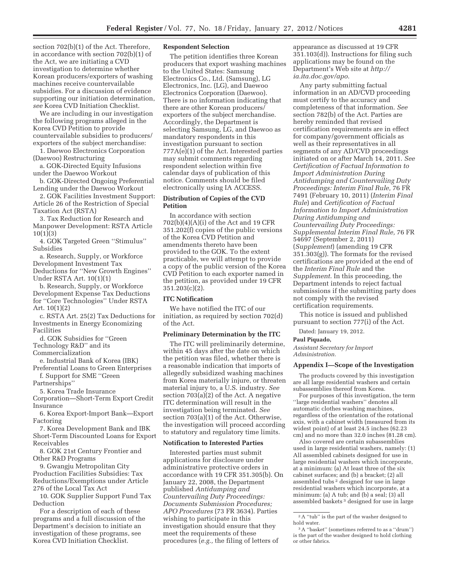section 702(b)(1) of the Act. Therefore, in accordance with section 702(b)(1) of the Act, we are initiating a CVD investigation to determine whether Korean producers/exporters of washing machines receive countervailable subsidies. For a discussion of evidence supporting our initiation determination, *see* Korea CVD Initiation Checklist.

We are including in our investigation the following programs alleged in the Korea CVD Petition to provide countervailable subsidies to producers/ exporters of the subject merchandise:

1. Daewoo Electronics Corporation (Daewoo) Restructuring

a. GOK-Directed Equity Infusions under the Daewoo Workout

b. GOK-Directed Ongoing Preferential Lending under the Daewoo Workout

2. GOK Facilities Investment Support: Article 26 of the Restriction of Special Taxation Act (RSTA)

3. Tax Reduction for Research and Manpower Development: RSTA Article 10(1)(3)

4. GOK Targeted Green ''Stimulus'' Subsidies

a. Research, Supply, or Workforce Development Investment Tax Deductions for ''New Growth Engines'' Under RSTA Art. 10(1)(1)

b. Research, Supply, or Workforce Development Expense Tax Deductions for ''Core Technologies'' Under RSTA Art. 10(1)(2)

c. RSTA Art. 25(2) Tax Deductions for Investments in Energy Economizing Facilities

d. GOK Subsidies for ''Green

Technology R&D'' and its Commercialization

e. Industrial Bank of Korea (IBK) Preferential Loans to Green Enterprises f. Support for SME ''Green

Partnerships''

5. Korea Trade Insurance

Corporation—Short-Term Export Credit Insurance

6. Korea Export-Import Bank—Export Factoring

7. Korea Development Bank and IBK Short-Term Discounted Loans for Export Receivables

8. GOK 21st Century Frontier and Other R&D Programs

9. Gwangju Metropolitan City Production Facilities Subsidies: Tax Reductions/Exemptions under Article 276 of the Local Tax Act

10. GOK Supplier Support Fund Tax Deduction

For a description of each of these programs and a full discussion of the Department's decision to initiate an investigation of these programs, see Korea CVD Initiation Checklist.

## **Respondent Selection**

The petition identifies three Korean producers that export washing machines to the United States: Samsung Electronics Co., Ltd. (Samsung), LG Electronics, Inc. (LG), and Daewoo Electronics Corporation (Daewoo). There is no information indicating that there are other Korean producers/ exporters of the subject merchandise. Accordingly, the Department is selecting Samsung, LG, and Daewoo as mandatory respondents in this investigation pursuant to section 777A(e)(1) of the Act. Interested parties may submit comments regarding respondent selection within five calendar days of publication of this notice. Comments should be filed electronically using IA ACCESS.

# **Distribution of Copies of the CVD Petition**

In accordance with section 702(b)(4)(A)(i) of the Act and 19 CFR 351.202(f) copies of the public versions of the Korea CVD Petition and amendments thereto have been provided to the GOK. To the extent practicable, we will attempt to provide a copy of the public version of the Korea CVD Petition to each exporter named in the petition, as provided under 19 CFR  $351.203(c)(2)$ .

# **ITC Notification**

We have notified the ITC of our initiation, as required by section 702(d) of the Act.

## **Preliminary Determination by the ITC**

The ITC will preliminarily determine, within 45 days after the date on which the petition was filed, whether there is a reasonable indication that imports of allegedly subsidized washing machines from Korea materially injure, or threaten material injury to, a U.S. industry. *See*  section 703(a)(2) of the Act. A negative ITC determination will result in the investigation being terminated. *See*  section 703(a)(1) of the Act. Otherwise, the investigation will proceed according to statutory and regulatory time limits.

# **Notification to Interested Parties**

Interested parties must submit applications for disclosure under administrative protective orders in accordance with 19 CFR 351.305(b). On January 22, 2008, the Department published *Antidumping and Countervailing Duty Proceedings: Documents Submission Procedures; APO Procedures* (73 FR 3634). Parties wishing to participate in this investigation should ensure that they meet the requirements of these procedures (*e.g.,* the filing of letters of

appearance as discussed at 19 CFR 351.103(d)). Instructions for filing such applications may be found on the Department's Web site at *http:// ia.ita.doc.gov/apo*.

Any party submitting factual information in an AD/CVD proceeding must certify to the accuracy and completeness of that information. *See*  section 782(b) of the Act. Parties are hereby reminded that revised certification requirements are in effect for company/government officials as well as their representatives in all segments of any AD/CVD proceedings initiated on or after March 14, 2011. *See Certification of Factual Information to Import Administration During Antidumping and Countervailing Duty Proceedings: Interim Final Rule,* 76 FR 7491 (February 10, 2011) (*Interim Final Rule*) and *Certification of Factual Information to Import Administration During Antidumping and Countervailing Duty Proceedings: Supplemental Interim Final Rule,* 76 FR 54697 (September 2, 2011) (*Supplement*) (amending 19 CFR 351.303(g)). The formats for the revised certifications are provided at the end of the *Interim Final Rule* and the *Supplement*. In this proceeding, the Department intends to reject factual submissions if the submitting party does not comply with the revised certification requirements.

This notice is issued and published pursuant to section 777(i) of the Act.

Dated: January 19, 2012.

## **Paul Piquado,**

*Assistant Secretary for Import Administration.* 

#### **Appendix I—Scope of the Investigation**

The products covered by this investigation are all large residential washers and certain subassemblies thereof from Korea.

For purposes of this investigation, the term ''large residential washers'' denotes all automatic clothes washing machines, regardless of the orientation of the rotational axis, with a cabinet width (measured from its widest point) of at least 24.5 inches (62.23 cm) and no more than 32.0 inches (81.28 cm).

Also covered are certain subassemblies used in large residential washers, namely: (1) All assembled cabinets designed for use in large residential washers which incorporate, at a minimum: (a) At least three of the six cabinet surfaces; and (b) a bracket; (2) all assembled tubs 2 designed for use in large residential washers which incorporate, at a minimum: (a) A tub; and (b) a seal; (3) all assembled baskets 3 designed for use in large

 $^{\rm 2}{\rm A}$  ''tub'' is the part of the washer designed to hold water.

<sup>3</sup>A ''basket'' (sometimes referred to as a ''drum'') is the part of the washer designed to hold clothing or other fabrics.